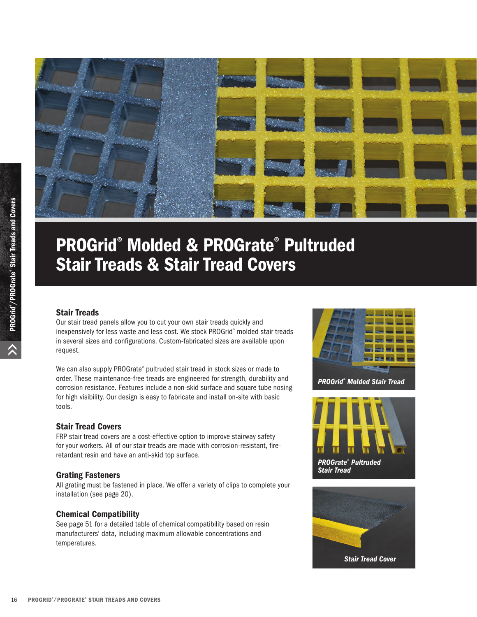

# PROGrid® Molded & PROGrate® Pultruded Stair Treads & Stair Tread Covers

#### Stair Treads

Our stair tread panels allow you to cut your own stair treads quickly and inexpensively for less waste and less cost. We stock PROGrid® molded stair treads in several sizes and configurations. Custom-fabricated sizes are available upon request.

We can also supply PROGrate® pultruded stair tread in stock sizes or made to order. These maintenance-free treads are engineered for strength, durability and corrosion resistance. Features include a non-skid surface and square tube nosing for high visibility. Our design is easy to fabricate and install on-site with basic tools.

#### Stair Tread Covers

FRP stair tread covers are a cost-effective option to improve stairway safety for your workers. All of our stair treads are made with corrosion-resistant, fireretardant resin and have an anti-skid top surface.

#### Grating Fasteners

All grating must be fastened in place. We offer a variety of clips to complete your installation (see page 20).

#### Chemical Compatibility

See page 51 for a detailed table of chemical compatibility based on resin manufacturers' data, including maximum allowable concentrations and temperatures.



*PROGrid® Molded Stair Tread*



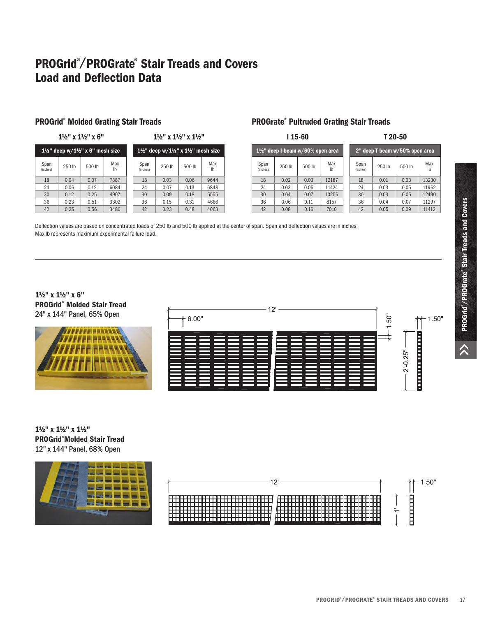## PROGrid®/PROGrate® Stair Treads and Covers Load and Deflection Data

#### PROGrid® Molded Grating Stair Treads **PROGrate®** PROGrate®

1½" x 1½" x 6"

| $1\frac{1}{2}$ " deep w/ $1\frac{1}{2}$ " x 6" mesh size |        |        |           | $1\frac{1}{2}$ " deep w/ $1\frac{1}{2}$ " x $1\frac{1}{2}$ " mesh size |        |        |           |
|----------------------------------------------------------|--------|--------|-----------|------------------------------------------------------------------------|--------|--------|-----------|
| Span<br>(inches)                                         | 250 lb | 500 lb | Max<br>lb | Span<br>(inches)                                                       | 250 lb | 500 lb | Max<br>Ib |
| 18                                                       | 0.04   | 0.07   | 7887      | 18                                                                     | 0.03   | 0.06   | 9644      |
| 24                                                       | 0.06   | 0.12   | 6084      | 24                                                                     | 0.07   | 0.13   | 6848      |
| 30                                                       | 0.12   | 0.25   | 4907      | 30                                                                     | 0.09   | 0.18   | 5555      |
| 36                                                       | 0.23   | 0.51   | 3302      | 36                                                                     | 0.15   | 0.31   | 4666      |
| 42                                                       | 0.25   | 0.56   | 3480      | 42                                                                     | 0.23   | 0.48   | 4063      |

#### PROGrate® Pultruded Grating Stair Treads

| $115-60$                                     |        |        |           | T 20-50                        |        |        |           |  |  |
|----------------------------------------------|--------|--------|-----------|--------------------------------|--------|--------|-----------|--|--|
| $1\frac{1}{2}$ " deep I-beam w/60% open area |        |        |           | 2" deep T-beam w/50% open area |        |        |           |  |  |
| Span<br>(inches)                             | 250 lb | 500 lb | Max<br>Ib | Span<br>(inches)               | 250 lb | 500 lb | Max<br>Ib |  |  |
| 18                                           | 0.02   | 0.03   | 12187     | 18                             | 0.01   | 0.03   | 13230     |  |  |
| 24                                           | 0.03   | 0.05   | 11424     | 24                             | 0.03   | 0.05   | 11962     |  |  |
| 30                                           | 0.04   | 0.07   | 10256     | 30                             | 0.03   | 0.05   | 12490     |  |  |
| 36                                           | 0.06   | 0.11   | 8157      | 36                             | 0.04   | 0.07   | 11297     |  |  |
| 42                                           | 0.08   | 0.16   | 7010      | 42                             | 0.05   | 0.09   | 11412     |  |  |

Deflection values are based on concentrated loads of 250 lb and 500 lb applied at the center of span. Span and deflection values are in inches. Max lb represents maximum experimental failure load.

1½" x 1½" x 1½"

#### 1½" x 1½" x 6" PROGrid® Molded Stair Tread 24" x 144" Panel, 65% Open



| 12'<br>$+6.00"$ | ់<br>LС | $++ 1.50"$ |
|-----------------|---------|------------|
|                 |         | п          |
|                 |         | 2' 0.25''  |
|                 |         | ▭          |

#### 1½" x 1½" x 1½" PROGrid® Molded Stair Tread 12" x 144" Panel, 68% Open



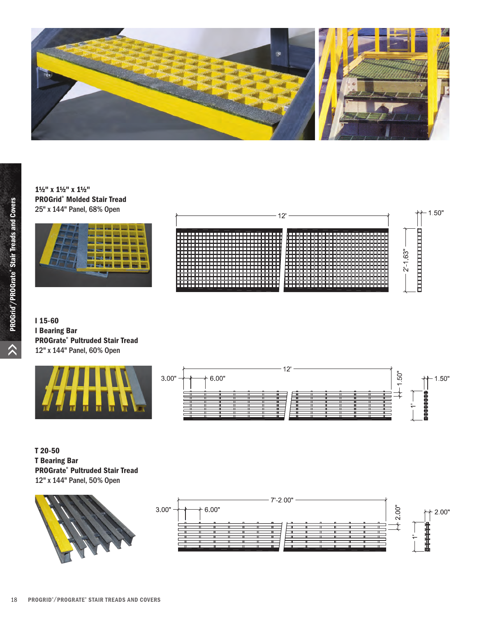

### 1½" x 1½" x 1½" PROGrid® Molded Stair Tread 25" x 144" Panel, 68% Open





I 15-60 I Bearing Bar PROGrate® Pultruded Stair Tread 12" x 144" Panel, 60% Open



T 20-50 T Bearing Bar PROGrate® Pultruded Stair Tread 12" x 144" Panel, 50% Open



 $\lambda$